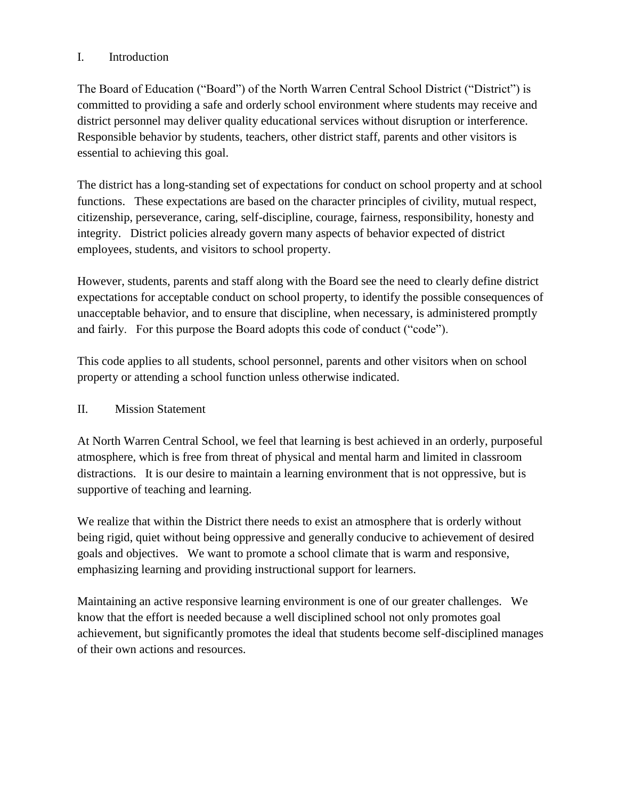### I. Introduction

The Board of Education ("Board") of the North Warren Central School District ("District") is committed to providing a safe and orderly school environment where students may receive and district personnel may deliver quality educational services without disruption or interference. Responsible behavior by students, teachers, other district staff, parents and other visitors is essential to achieving this goal.

The district has a long-standing set of expectations for conduct on school property and at school functions. These expectations are based on the character principles of civility, mutual respect, citizenship, perseverance, caring, self-discipline, courage, fairness, responsibility, honesty and integrity. District policies already govern many aspects of behavior expected of district employees, students, and visitors to school property.

However, students, parents and staff along with the Board see the need to clearly define district expectations for acceptable conduct on school property, to identify the possible consequences of unacceptable behavior, and to ensure that discipline, when necessary, is administered promptly and fairly. For this purpose the Board adopts this code of conduct ("code").

This code applies to all students, school personnel, parents and other visitors when on school property or attending a school function unless otherwise indicated.

#### II. Mission Statement

At North Warren Central School, we feel that learning is best achieved in an orderly, purposeful atmosphere, which is free from threat of physical and mental harm and limited in classroom distractions. It is our desire to maintain a learning environment that is not oppressive, but is supportive of teaching and learning.

We realize that within the District there needs to exist an atmosphere that is orderly without being rigid, quiet without being oppressive and generally conducive to achievement of desired goals and objectives. We want to promote a school climate that is warm and responsive, emphasizing learning and providing instructional support for learners.

Maintaining an active responsive learning environment is one of our greater challenges. We know that the effort is needed because a well disciplined school not only promotes goal achievement, but significantly promotes the ideal that students become self-disciplined manages of their own actions and resources.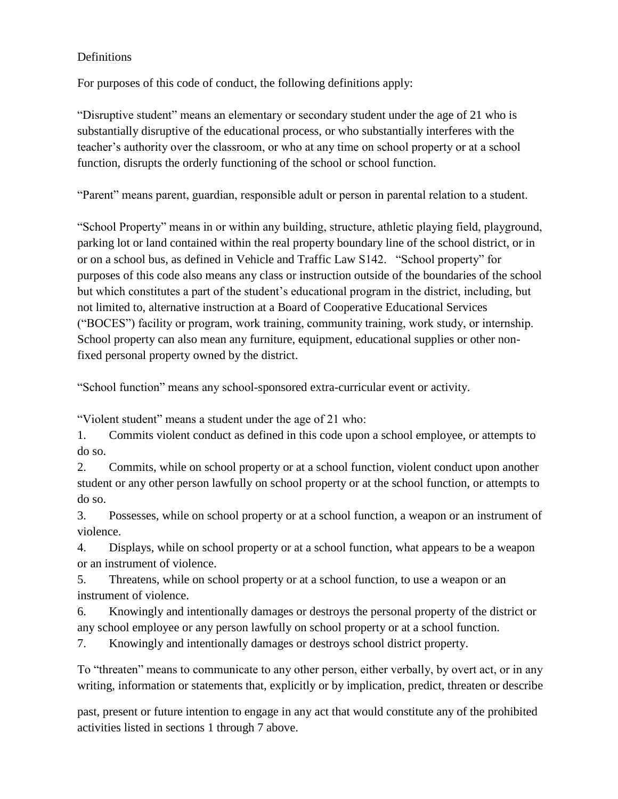#### Definitions

For purposes of this code of conduct, the following definitions apply:

"Disruptive student" means an elementary or secondary student under the age of 21 who is substantially disruptive of the educational process, or who substantially interferes with the teacher's authority over the classroom, or who at any time on school property or at a school function, disrupts the orderly functioning of the school or school function.

"Parent" means parent, guardian, responsible adult or person in parental relation to a student.

"School Property" means in or within any building, structure, athletic playing field, playground, parking lot or land contained within the real property boundary line of the school district, or in or on a school bus, as defined in Vehicle and Traffic Law S142. "School property" for purposes of this code also means any class or instruction outside of the boundaries of the school but which constitutes a part of the student's educational program in the district, including, but not limited to, alternative instruction at a Board of Cooperative Educational Services ("BOCES") facility or program, work training, community training, work study, or internship. School property can also mean any furniture, equipment, educational supplies or other nonfixed personal property owned by the district.

"School function" means any school-sponsored extra-curricular event or activity.

"Violent student" means a student under the age of 21 who:

1. Commits violent conduct as defined in this code upon a school employee, or attempts to do so.

2. Commits, while on school property or at a school function, violent conduct upon another student or any other person lawfully on school property or at the school function, or attempts to do so.

3. Possesses, while on school property or at a school function, a weapon or an instrument of violence.

4. Displays, while on school property or at a school function, what appears to be a weapon or an instrument of violence.

5. Threatens, while on school property or at a school function, to use a weapon or an instrument of violence.

6. Knowingly and intentionally damages or destroys the personal property of the district or any school employee or any person lawfully on school property or at a school function.

7. Knowingly and intentionally damages or destroys school district property.

To "threaten" means to communicate to any other person, either verbally, by overt act, or in any writing, information or statements that, explicitly or by implication, predict, threaten or describe

past, present or future intention to engage in any act that would constitute any of the prohibited activities listed in sections 1 through 7 above.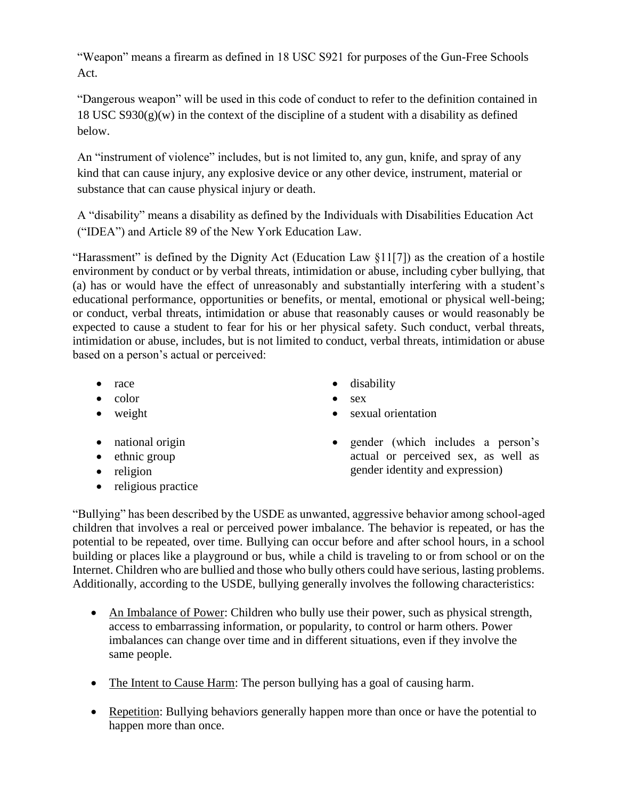"Weapon" means a firearm as defined in 18 USC S921 for purposes of the Gun-Free Schools Act.

"Dangerous weapon" will be used in this code of conduct to refer to the definition contained in 18 USC  $S930(g)(w)$  in the context of the discipline of a student with a disability as defined below.

An "instrument of violence" includes, but is not limited to, any gun, knife, and spray of any kind that can cause injury, any explosive device or any other device, instrument, material or substance that can cause physical injury or death.

A "disability" means a disability as defined by the Individuals with Disabilities Education Act ("IDEA") and Article 89 of the New York Education Law.

"Harassment" is defined by the Dignity Act (Education Law §11[7]) as the creation of a hostile environment by conduct or by verbal threats, intimidation or abuse, including cyber bullying, that (a) has or would have the effect of unreasonably and substantially interfering with a student's educational performance, opportunities or benefits, or mental, emotional or physical well-being; or conduct, verbal threats, intimidation or abuse that reasonably causes or would reasonably be expected to cause a student to fear for his or her physical safety. Such conduct, verbal threats, intimidation or abuse, includes, but is not limited to conduct, verbal threats, intimidation or abuse based on a person's actual or perceived:

- 
- $\bullet$  color  $\bullet$  sex
- 
- 
- $\bullet$  ethnic group
- religion
- religious practice
- race **disability** 
	-
- weight version of sexual orientation
- national origin gender (which includes a person's actual or perceived sex, as well as gender identity and expression)

"Bullying" has been described by the USDE as unwanted, aggressive behavior among school-aged children that involves a real or perceived power imbalance. The behavior is repeated, or has the potential to be repeated, over time. Bullying can occur before and after school hours, in a school building or places like a playground or bus, while a child is traveling to or from school or on the Internet. Children who are bullied and those who bully others could have serious, lasting problems. Additionally, according to the USDE, bullying generally involves the following characteristics:

- An Imbalance of Power: Children who bully use their power, such as physical strength, access to embarrassing information, or popularity, to control or harm others. Power imbalances can change over time and in different situations, even if they involve the same people.
- The Intent to Cause Harm: The person bullying has a goal of causing harm.
- Repetition: Bullying behaviors generally happen more than once or have the potential to happen more than once.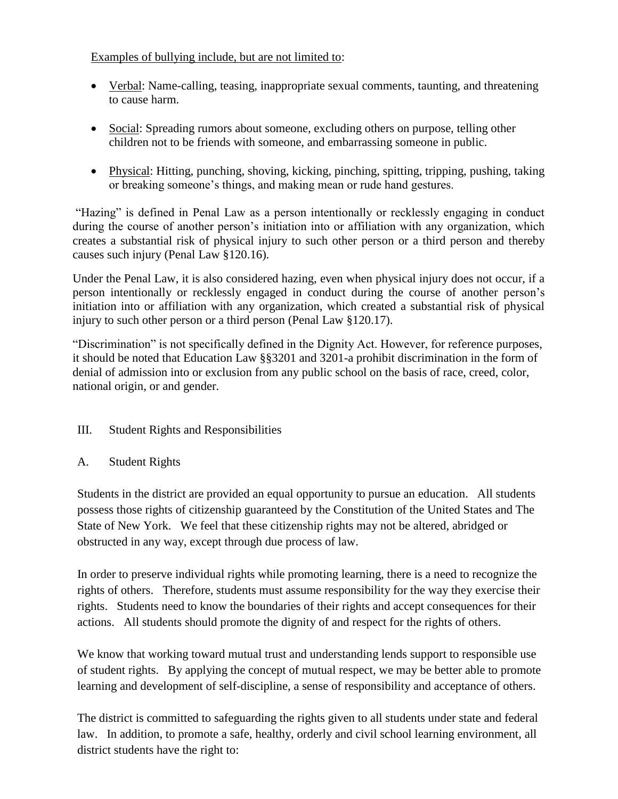### Examples of bullying include, but are not limited to:

- Verbal: Name-calling, teasing, inappropriate sexual comments, taunting, and threatening to cause harm.
- Social: Spreading rumors about someone, excluding others on purpose, telling other children not to be friends with someone, and embarrassing someone in public.
- Physical: Hitting, punching, shoving, kicking, pinching, spitting, tripping, pushing, taking or breaking someone's things, and making mean or rude hand gestures.

"Hazing" is defined in Penal Law as a person intentionally or recklessly engaging in conduct during the course of another person's initiation into or affiliation with any organization, which creates a substantial risk of physical injury to such other person or a third person and thereby causes such injury (Penal Law §120.16).

Under the Penal Law, it is also considered hazing, even when physical injury does not occur, if a person intentionally or recklessly engaged in conduct during the course of another person's initiation into or affiliation with any organization, which created a substantial risk of physical injury to such other person or a third person (Penal Law §120.17).

"Discrimination" is not specifically defined in the Dignity Act. However, for reference purposes, it should be noted that Education Law §§3201 and 3201-a prohibit discrimination in the form of denial of admission into or exclusion from any public school on the basis of race, creed, color, national origin, or and gender.

- III. Student Rights and Responsibilities
- A. Student Rights

Students in the district are provided an equal opportunity to pursue an education. All students possess those rights of citizenship guaranteed by the Constitution of the United States and The State of New York. We feel that these citizenship rights may not be altered, abridged or obstructed in any way, except through due process of law.

In order to preserve individual rights while promoting learning, there is a need to recognize the rights of others. Therefore, students must assume responsibility for the way they exercise their rights. Students need to know the boundaries of their rights and accept consequences for their actions. All students should promote the dignity of and respect for the rights of others.

We know that working toward mutual trust and understanding lends support to responsible use of student rights. By applying the concept of mutual respect, we may be better able to promote learning and development of self-discipline, a sense of responsibility and acceptance of others.

The district is committed to safeguarding the rights given to all students under state and federal law. In addition, to promote a safe, healthy, orderly and civil school learning environment, all district students have the right to: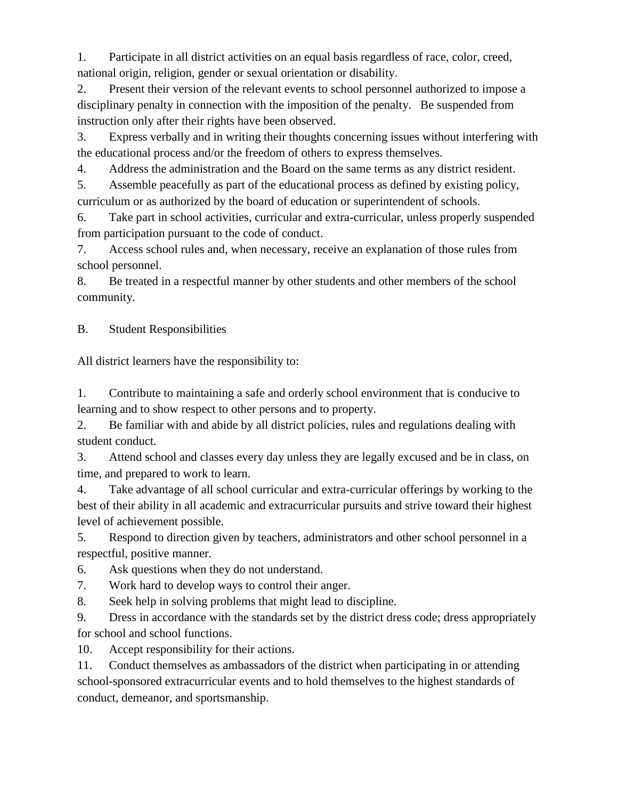1. Participate in all district activities on an equal basis regardless of race, color, creed, national origin, religion, gender or sexual orientation or disability.

2. Present their version of the relevant events to school personnel authorized to impose a disciplinary penalty in connection with the imposition of the penalty. Be suspended from instruction only after their rights have been observed.

3. Express verbally and in writing their thoughts concerning issues without interfering with the educational process and/or the freedom of others to express themselves.

4. Address the administration and the Board on the same terms as any district resident.

5. Assemble peacefully as part of the educational process as defined by existing policy, curriculum or as authorized by the board of education or superintendent of schools.

6. Take part in school activities, curricular and extra-curricular, unless properly suspended from participation pursuant to the code of conduct.

7. Access school rules and, when necessary, receive an explanation of those rules from school personnel.

8. Be treated in a respectful manner by other students and other members of the school community.

B. Student Responsibilities

All district learners have the responsibility to:

1. Contribute to maintaining a safe and orderly school environment that is conducive to learning and to show respect to other persons and to property.

2. Be familiar with and abide by all district policies, rules and regulations dealing with student conduct.

3. Attend school and classes every day unless they are legally excused and be in class, on time, and prepared to work to learn.

4. Take advantage of all school curricular and extra-curricular offerings by working to the best of their ability in all academic and extracurricular pursuits and strive toward their highest level of achievement possible.

5. Respond to direction given by teachers, administrators and other school personnel in a respectful, positive manner.

6. Ask questions when they do not understand.

7. Work hard to develop ways to control their anger.

8. Seek help in solving problems that might lead to discipline.

9. Dress in accordance with the standards set by the district dress code; dress appropriately for school and school functions.

10. Accept responsibility for their actions.

11. Conduct themselves as ambassadors of the district when participating in or attending school-sponsored extracurricular events and to hold themselves to the highest standards of conduct, demeanor, and sportsmanship.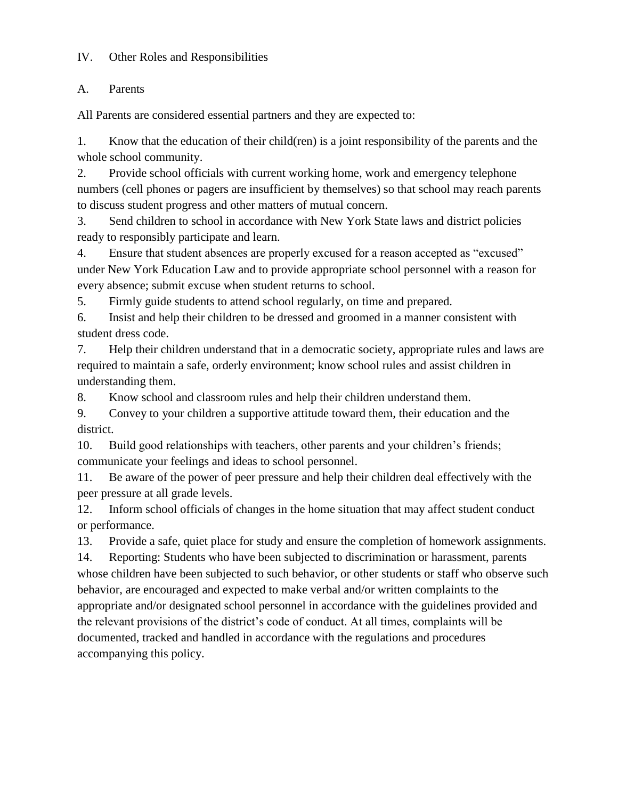#### IV. Other Roles and Responsibilities

#### A. Parents

All Parents are considered essential partners and they are expected to:

1. Know that the education of their child(ren) is a joint responsibility of the parents and the whole school community.

2. Provide school officials with current working home, work and emergency telephone numbers (cell phones or pagers are insufficient by themselves) so that school may reach parents to discuss student progress and other matters of mutual concern.

3. Send children to school in accordance with New York State laws and district policies ready to responsibly participate and learn.

4. Ensure that student absences are properly excused for a reason accepted as "excused" under New York Education Law and to provide appropriate school personnel with a reason for every absence; submit excuse when student returns to school.

5. Firmly guide students to attend school regularly, on time and prepared.

6. Insist and help their children to be dressed and groomed in a manner consistent with student dress code.

7. Help their children understand that in a democratic society, appropriate rules and laws are required to maintain a safe, orderly environment; know school rules and assist children in understanding them.

8. Know school and classroom rules and help their children understand them.

9. Convey to your children a supportive attitude toward them, their education and the district.

10. Build good relationships with teachers, other parents and your children's friends; communicate your feelings and ideas to school personnel.

11. Be aware of the power of peer pressure and help their children deal effectively with the peer pressure at all grade levels.

12. Inform school officials of changes in the home situation that may affect student conduct or performance.

13. Provide a safe, quiet place for study and ensure the completion of homework assignments.

14. Reporting: Students who have been subjected to discrimination or harassment, parents whose children have been subjected to such behavior, or other students or staff who observe such behavior, are encouraged and expected to make verbal and/or written complaints to the appropriate and/or designated school personnel in accordance with the guidelines provided and the relevant provisions of the district's code of conduct. At all times, complaints will be documented, tracked and handled in accordance with the regulations and procedures accompanying this policy.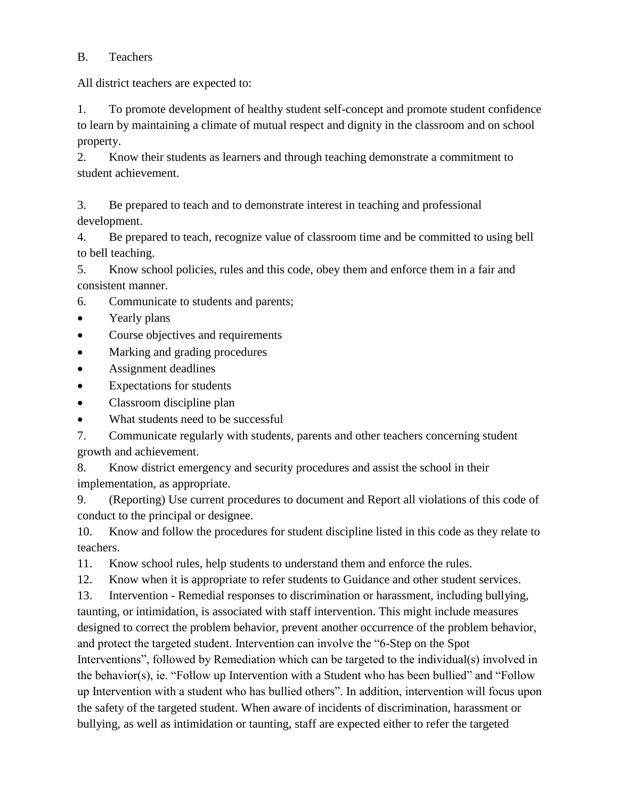## B. Teachers

All district teachers are expected to:

1. To promote development of healthy student self-concept and promote student confidence to learn by maintaining a climate of mutual respect and dignity in the classroom and on school property.

2. Know their students as learners and through teaching demonstrate a commitment to student achievement.

3. Be prepared to teach and to demonstrate interest in teaching and professional development.

4. Be prepared to teach, recognize value of classroom time and be committed to using bell to bell teaching.

5. Know school policies, rules and this code, obey them and enforce them in a fair and consistent manner.

- 6. Communicate to students and parents;
- Yearly plans
- Course objectives and requirements
- Marking and grading procedures
- Assignment deadlines
- Expectations for students
- Classroom discipline plan
- What students need to be successful

7. Communicate regularly with students, parents and other teachers concerning student growth and achievement.

8. Know district emergency and security procedures and assist the school in their implementation, as appropriate.

9. (Reporting) Use current procedures to document and Report all violations of this code of conduct to the principal or designee.

10. Know and follow the procedures for student discipline listed in this code as they relate to teachers.

11. Know school rules, help students to understand them and enforce the rules.

12. Know when it is appropriate to refer students to Guidance and other student services.

13. Intervention - Remedial responses to discrimination or harassment, including bullying,

taunting, or intimidation, is associated with staff intervention. This might include measures designed to correct the problem behavior, prevent another occurrence of the problem behavior, and protect the targeted student. Intervention can involve the "6-Step on the Spot Interventions", followed by Remediation which can be targeted to the individual(s) involved in the behavior(s), ie. "Follow up Intervention with a Student who has been bullied" and "Follow up Intervention with a student who has bullied others". In addition, intervention will focus upon the safety of the targeted student. When aware of incidents of discrimination, harassment or bullying, as well as intimidation or taunting, staff are expected either to refer the targeted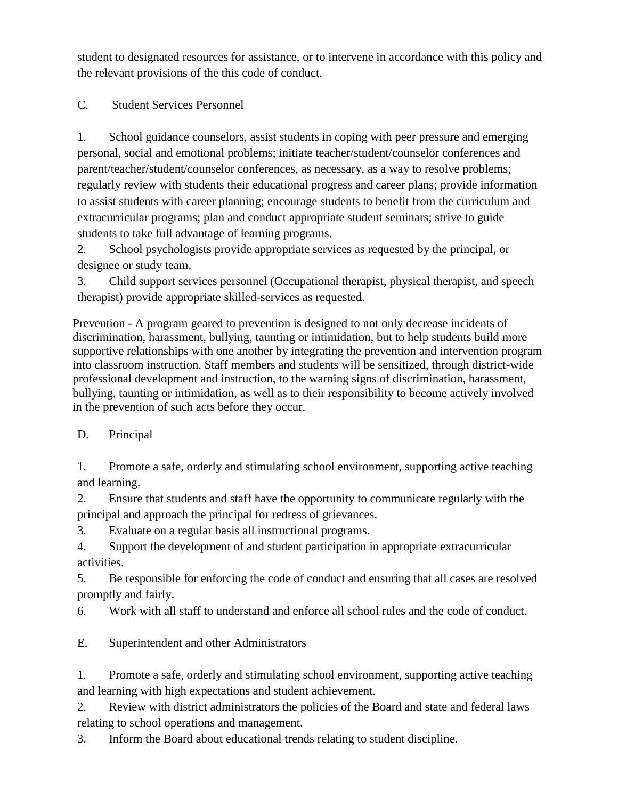student to designated resources for assistance, or to intervene in accordance with this policy and the relevant provisions of the this code of conduct.

C. Student Services Personnel

1. School guidance counselors, assist students in coping with peer pressure and emerging personal, social and emotional problems; initiate teacher/student/counselor conferences and parent/teacher/student/counselor conferences, as necessary, as a way to resolve problems; regularly review with students their educational progress and career plans; provide information to assist students with career planning; encourage students to benefit from the curriculum and extracurricular programs; plan and conduct appropriate student seminars; strive to guide students to take full advantage of learning programs.

2. School psychologists provide appropriate services as requested by the principal, or designee or study team.

3. Child support services personnel (Occupational therapist, physical therapist, and speech therapist) provide appropriate skilled-services as requested.

Prevention - A program geared to prevention is designed to not only decrease incidents of discrimination, harassment, bullying, taunting or intimidation, but to help students build more supportive relationships with one another by integrating the prevention and intervention program into classroom instruction. Staff members and students will be sensitized, through district-wide professional development and instruction, to the warning signs of discrimination, harassment, bullying, taunting or intimidation, as well as to their responsibility to become actively involved in the prevention of such acts before they occur.

D. Principal

1. Promote a safe, orderly and stimulating school environment, supporting active teaching and learning.

2. Ensure that students and staff have the opportunity to communicate regularly with the principal and approach the principal for redress of grievances.

3. Evaluate on a regular basis all instructional programs.

4. Support the development of and student participation in appropriate extracurricular activities.

5. Be responsible for enforcing the code of conduct and ensuring that all cases are resolved promptly and fairly.

6. Work with all staff to understand and enforce all school rules and the code of conduct.

E. Superintendent and other Administrators

1. Promote a safe, orderly and stimulating school environment, supporting active teaching and learning with high expectations and student achievement.

2. Review with district administrators the policies of the Board and state and federal laws relating to school operations and management.

3. Inform the Board about educational trends relating to student discipline.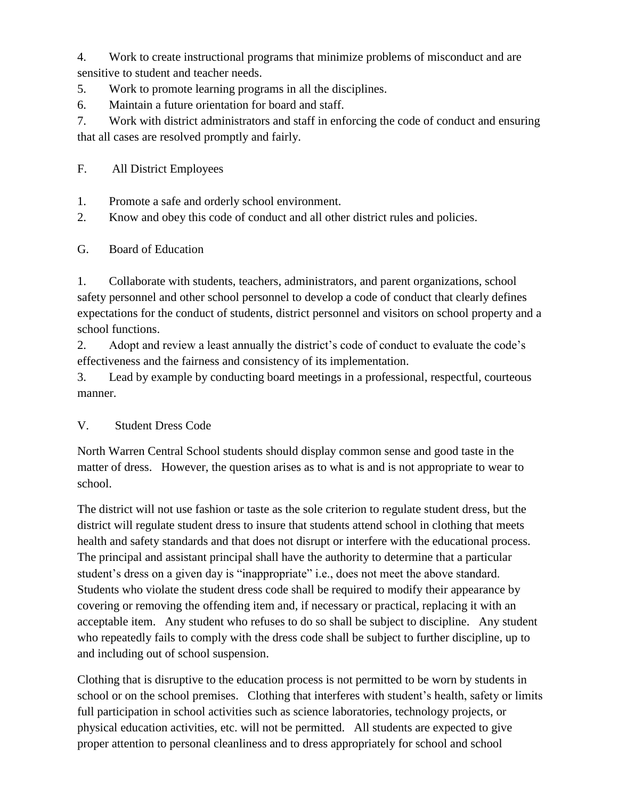4. Work to create instructional programs that minimize problems of misconduct and are sensitive to student and teacher needs.

- 5. Work to promote learning programs in all the disciplines.
- 6. Maintain a future orientation for board and staff.

7. Work with district administrators and staff in enforcing the code of conduct and ensuring that all cases are resolved promptly and fairly.

F. All District Employees

- 1. Promote a safe and orderly school environment.
- 2. Know and obey this code of conduct and all other district rules and policies.

G. Board of Education

1. Collaborate with students, teachers, administrators, and parent organizations, school safety personnel and other school personnel to develop a code of conduct that clearly defines expectations for the conduct of students, district personnel and visitors on school property and a school functions.

2. Adopt and review a least annually the district's code of conduct to evaluate the code's effectiveness and the fairness and consistency of its implementation.

3. Lead by example by conducting board meetings in a professional, respectful, courteous manner.

# V. Student Dress Code

North Warren Central School students should display common sense and good taste in the matter of dress. However, the question arises as to what is and is not appropriate to wear to school.

The district will not use fashion or taste as the sole criterion to regulate student dress, but the district will regulate student dress to insure that students attend school in clothing that meets health and safety standards and that does not disrupt or interfere with the educational process. The principal and assistant principal shall have the authority to determine that a particular student's dress on a given day is "inappropriate" i.e., does not meet the above standard. Students who violate the student dress code shall be required to modify their appearance by covering or removing the offending item and, if necessary or practical, replacing it with an acceptable item. Any student who refuses to do so shall be subject to discipline. Any student who repeatedly fails to comply with the dress code shall be subject to further discipline, up to and including out of school suspension.

Clothing that is disruptive to the education process is not permitted to be worn by students in school or on the school premises. Clothing that interferes with student's health, safety or limits full participation in school activities such as science laboratories, technology projects, or physical education activities, etc. will not be permitted. All students are expected to give proper attention to personal cleanliness and to dress appropriately for school and school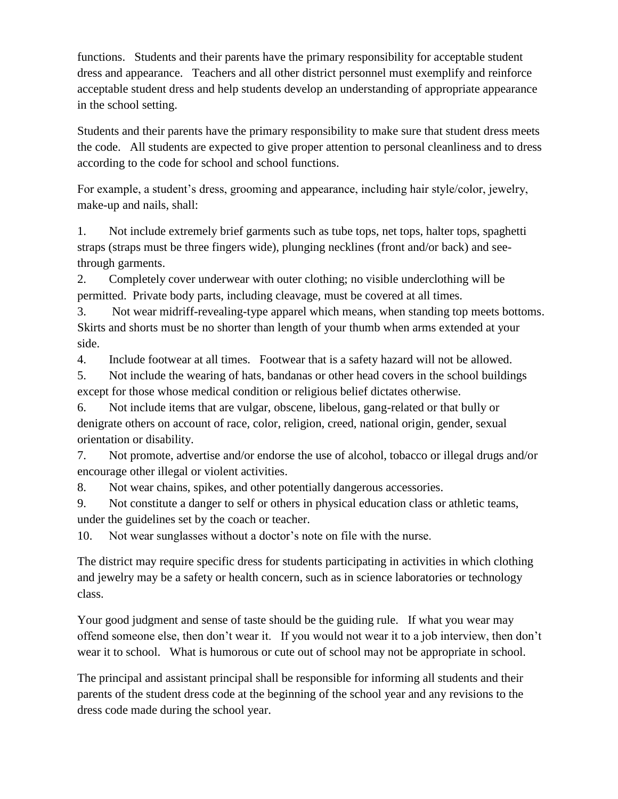functions. Students and their parents have the primary responsibility for acceptable student dress and appearance. Teachers and all other district personnel must exemplify and reinforce acceptable student dress and help students develop an understanding of appropriate appearance in the school setting.

Students and their parents have the primary responsibility to make sure that student dress meets the code. All students are expected to give proper attention to personal cleanliness and to dress according to the code for school and school functions.

For example, a student's dress, grooming and appearance, including hair style/color, jewelry, make-up and nails, shall:

1. Not include extremely brief garments such as tube tops, net tops, halter tops, spaghetti straps (straps must be three fingers wide), plunging necklines (front and/or back) and seethrough garments.

2. Completely cover underwear with outer clothing; no visible underclothing will be permitted. Private body parts, including cleavage, must be covered at all times.

3. Not wear midriff-revealing-type apparel which means, when standing top meets bottoms. Skirts and shorts must be no shorter than length of your thumb when arms extended at your side.

4. Include footwear at all times. Footwear that is a safety hazard will not be allowed.

5. Not include the wearing of hats, bandanas or other head covers in the school buildings except for those whose medical condition or religious belief dictates otherwise.

6. Not include items that are vulgar, obscene, libelous, gang-related or that bully or denigrate others on account of race, color, religion, creed, national origin, gender, sexual orientation or disability.

7. Not promote, advertise and/or endorse the use of alcohol, tobacco or illegal drugs and/or encourage other illegal or violent activities.

8. Not wear chains, spikes, and other potentially dangerous accessories.

9. Not constitute a danger to self or others in physical education class or athletic teams, under the guidelines set by the coach or teacher.

10. Not wear sunglasses without a doctor's note on file with the nurse.

The district may require specific dress for students participating in activities in which clothing and jewelry may be a safety or health concern, such as in science laboratories or technology class.

Your good judgment and sense of taste should be the guiding rule. If what you wear may offend someone else, then don't wear it. If you would not wear it to a job interview, then don't wear it to school. What is humorous or cute out of school may not be appropriate in school.

The principal and assistant principal shall be responsible for informing all students and their parents of the student dress code at the beginning of the school year and any revisions to the dress code made during the school year.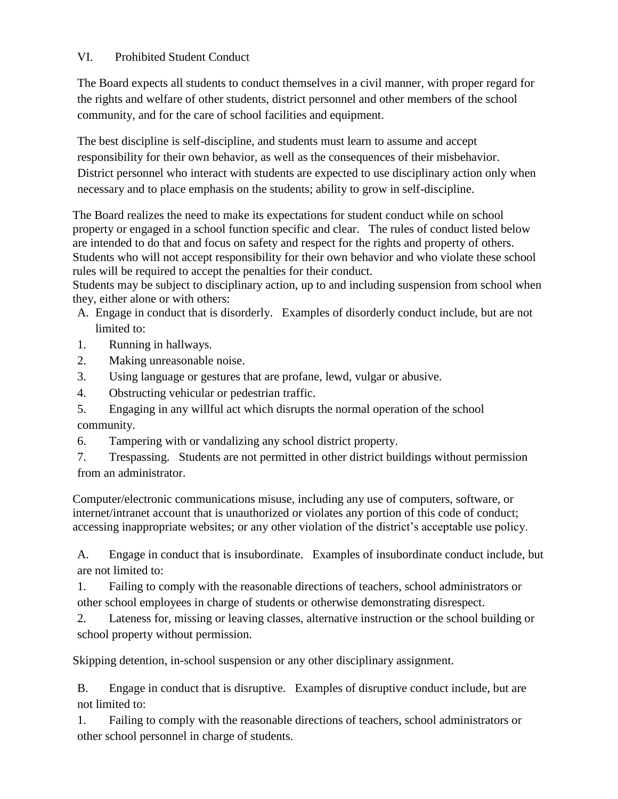### VI. Prohibited Student Conduct

The Board expects all students to conduct themselves in a civil manner, with proper regard for the rights and welfare of other students, district personnel and other members of the school community, and for the care of school facilities and equipment.

The best discipline is self-discipline, and students must learn to assume and accept responsibility for their own behavior, as well as the consequences of their misbehavior. District personnel who interact with students are expected to use disciplinary action only when necessary and to place emphasis on the students; ability to grow in self-discipline.

The Board realizes the need to make its expectations for student conduct while on school property or engaged in a school function specific and clear. The rules of conduct listed below are intended to do that and focus on safety and respect for the rights and property of others. Students who will not accept responsibility for their own behavior and who violate these school rules will be required to accept the penalties for their conduct.

Students may be subject to disciplinary action, up to and including suspension from school when they, either alone or with others:

- A. Engage in conduct that is disorderly. Examples of disorderly conduct include, but are not limited to:
- 1. Running in hallways.
- 2. Making unreasonable noise.
- 3. Using language or gestures that are profane, lewd, vulgar or abusive.
- 4. Obstructing vehicular or pedestrian traffic.

5. Engaging in any willful act which disrupts the normal operation of the school community.

6. Tampering with or vandalizing any school district property.

7. Trespassing. Students are not permitted in other district buildings without permission from an administrator.

Computer/electronic communications misuse, including any use of computers, software, or internet/intranet account that is unauthorized or violates any portion of this code of conduct; accessing inappropriate websites; or any other violation of the district's acceptable use policy.

A. Engage in conduct that is insubordinate. Examples of insubordinate conduct include, but are not limited to:

1. Failing to comply with the reasonable directions of teachers, school administrators or other school employees in charge of students or otherwise demonstrating disrespect.

2. Lateness for, missing or leaving classes, alternative instruction or the school building or school property without permission.

Skipping detention, in-school suspension or any other disciplinary assignment.

B. Engage in conduct that is disruptive. Examples of disruptive conduct include, but are not limited to:

1. Failing to comply with the reasonable directions of teachers, school administrators or other school personnel in charge of students.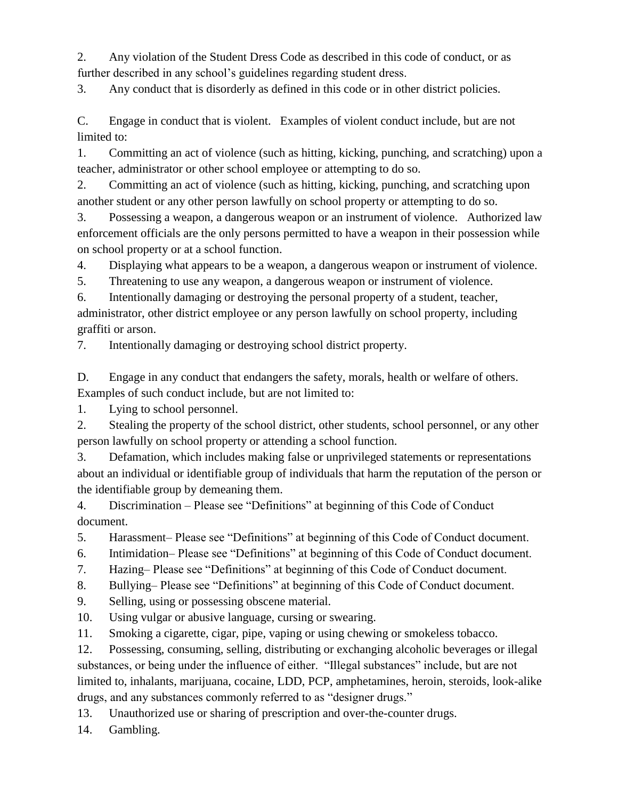2. Any violation of the Student Dress Code as described in this code of conduct, or as further described in any school's guidelines regarding student dress.

3. Any conduct that is disorderly as defined in this code or in other district policies.

C. Engage in conduct that is violent. Examples of violent conduct include, but are not limited to:

1. Committing an act of violence (such as hitting, kicking, punching, and scratching) upon a teacher, administrator or other school employee or attempting to do so.

2. Committing an act of violence (such as hitting, kicking, punching, and scratching upon another student or any other person lawfully on school property or attempting to do so.

3. Possessing a weapon, a dangerous weapon or an instrument of violence. Authorized law enforcement officials are the only persons permitted to have a weapon in their possession while on school property or at a school function.

4. Displaying what appears to be a weapon, a dangerous weapon or instrument of violence.

5. Threatening to use any weapon, a dangerous weapon or instrument of violence.

6. Intentionally damaging or destroying the personal property of a student, teacher,

administrator, other district employee or any person lawfully on school property, including graffiti or arson.

7. Intentionally damaging or destroying school district property.

D. Engage in any conduct that endangers the safety, morals, health or welfare of others. Examples of such conduct include, but are not limited to:

1. Lying to school personnel.

2. Stealing the property of the school district, other students, school personnel, or any other person lawfully on school property or attending a school function.

3. Defamation, which includes making false or unprivileged statements or representations about an individual or identifiable group of individuals that harm the reputation of the person or the identifiable group by demeaning them.

4. Discrimination – Please see "Definitions" at beginning of this Code of Conduct document.

5. Harassment– Please see "Definitions" at beginning of this Code of Conduct document.

6. Intimidation– Please see "Definitions" at beginning of this Code of Conduct document.

7. Hazing– Please see "Definitions" at beginning of this Code of Conduct document.

8. Bullying– Please see "Definitions" at beginning of this Code of Conduct document.

9. Selling, using or possessing obscene material.

10. Using vulgar or abusive language, cursing or swearing.

11. Smoking a cigarette, cigar, pipe, vaping or using chewing or smokeless tobacco.

12. Possessing, consuming, selling, distributing or exchanging alcoholic beverages or illegal substances, or being under the influence of either. "Illegal substances" include, but are not limited to, inhalants, marijuana, cocaine, LDD, PCP, amphetamines, heroin, steroids, look-alike drugs, and any substances commonly referred to as "designer drugs."

13. Unauthorized use or sharing of prescription and over-the-counter drugs.

14. Gambling.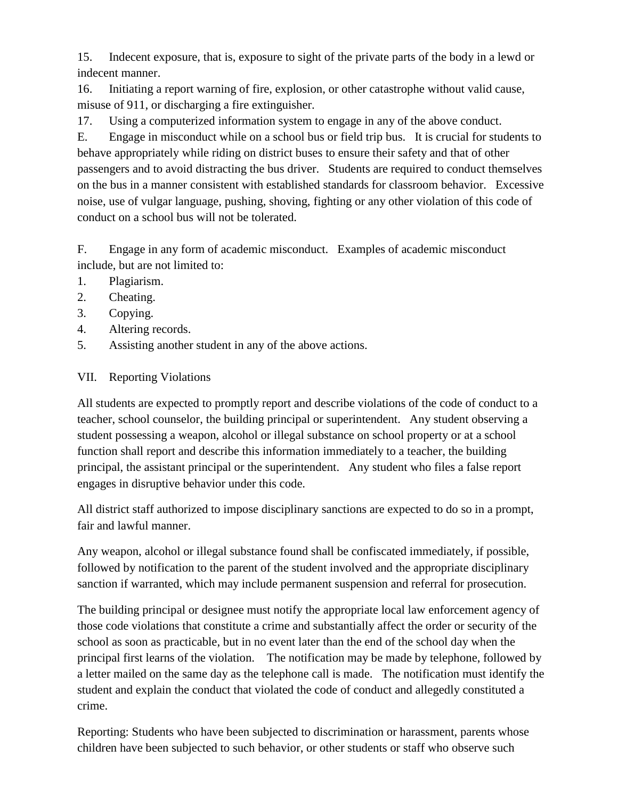15. Indecent exposure, that is, exposure to sight of the private parts of the body in a lewd or indecent manner.

16. Initiating a report warning of fire, explosion, or other catastrophe without valid cause, misuse of 911, or discharging a fire extinguisher.

17. Using a computerized information system to engage in any of the above conduct.

E. Engage in misconduct while on a school bus or field trip bus. It is crucial for students to behave appropriately while riding on district buses to ensure their safety and that of other passengers and to avoid distracting the bus driver. Students are required to conduct themselves on the bus in a manner consistent with established standards for classroom behavior. Excessive noise, use of vulgar language, pushing, shoving, fighting or any other violation of this code of conduct on a school bus will not be tolerated.

F. Engage in any form of academic misconduct. Examples of academic misconduct include, but are not limited to:

- 1. Plagiarism.
- 2. Cheating.
- 3. Copying.
- 4. Altering records.
- 5. Assisting another student in any of the above actions.

# VII. Reporting Violations

All students are expected to promptly report and describe violations of the code of conduct to a teacher, school counselor, the building principal or superintendent. Any student observing a student possessing a weapon, alcohol or illegal substance on school property or at a school function shall report and describe this information immediately to a teacher, the building principal, the assistant principal or the superintendent. Any student who files a false report engages in disruptive behavior under this code.

All district staff authorized to impose disciplinary sanctions are expected to do so in a prompt, fair and lawful manner.

Any weapon, alcohol or illegal substance found shall be confiscated immediately, if possible, followed by notification to the parent of the student involved and the appropriate disciplinary sanction if warranted, which may include permanent suspension and referral for prosecution.

The building principal or designee must notify the appropriate local law enforcement agency of those code violations that constitute a crime and substantially affect the order or security of the school as soon as practicable, but in no event later than the end of the school day when the principal first learns of the violation. The notification may be made by telephone, followed by a letter mailed on the same day as the telephone call is made. The notification must identify the student and explain the conduct that violated the code of conduct and allegedly constituted a crime.

Reporting: Students who have been subjected to discrimination or harassment, parents whose children have been subjected to such behavior, or other students or staff who observe such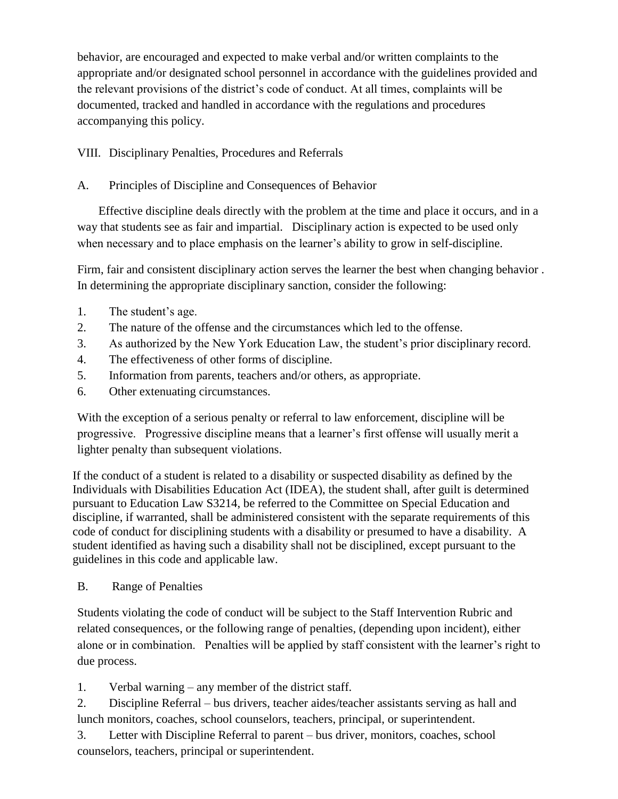behavior, are encouraged and expected to make verbal and/or written complaints to the appropriate and/or designated school personnel in accordance with the guidelines provided and the relevant provisions of the district's code of conduct. At all times, complaints will be documented, tracked and handled in accordance with the regulations and procedures accompanying this policy.

VIII. Disciplinary Penalties, Procedures and Referrals

# A. Principles of Discipline and Consequences of Behavior

 Effective discipline deals directly with the problem at the time and place it occurs, and in a way that students see as fair and impartial. Disciplinary action is expected to be used only when necessary and to place emphasis on the learner's ability to grow in self-discipline.

Firm, fair and consistent disciplinary action serves the learner the best when changing behavior . In determining the appropriate disciplinary sanction, consider the following:

- 1. The student's age.
- 2. The nature of the offense and the circumstances which led to the offense.
- 3. As authorized by the New York Education Law, the student's prior disciplinary record.
- 4. The effectiveness of other forms of discipline.
- 5. Information from parents, teachers and/or others, as appropriate.
- 6. Other extenuating circumstances.

With the exception of a serious penalty or referral to law enforcement, discipline will be progressive. Progressive discipline means that a learner's first offense will usually merit a lighter penalty than subsequent violations.

If the conduct of a student is related to a disability or suspected disability as defined by the Individuals with Disabilities Education Act (IDEA), the student shall, after guilt is determined pursuant to Education Law S3214, be referred to the Committee on Special Education and discipline, if warranted, shall be administered consistent with the separate requirements of this code of conduct for disciplining students with a disability or presumed to have a disability. A student identified as having such a disability shall not be disciplined, except pursuant to the guidelines in this code and applicable law.

## B. Range of Penalties

Students violating the code of conduct will be subject to the Staff Intervention Rubric and related consequences, or the following range of penalties, (depending upon incident), either alone or in combination. Penalties will be applied by staff consistent with the learner's right to due process.

1. Verbal warning – any member of the district staff.

2. Discipline Referral – bus drivers, teacher aides/teacher assistants serving as hall and lunch monitors, coaches, school counselors, teachers, principal, or superintendent.

3. Letter with Discipline Referral to parent – bus driver, monitors, coaches, school counselors, teachers, principal or superintendent.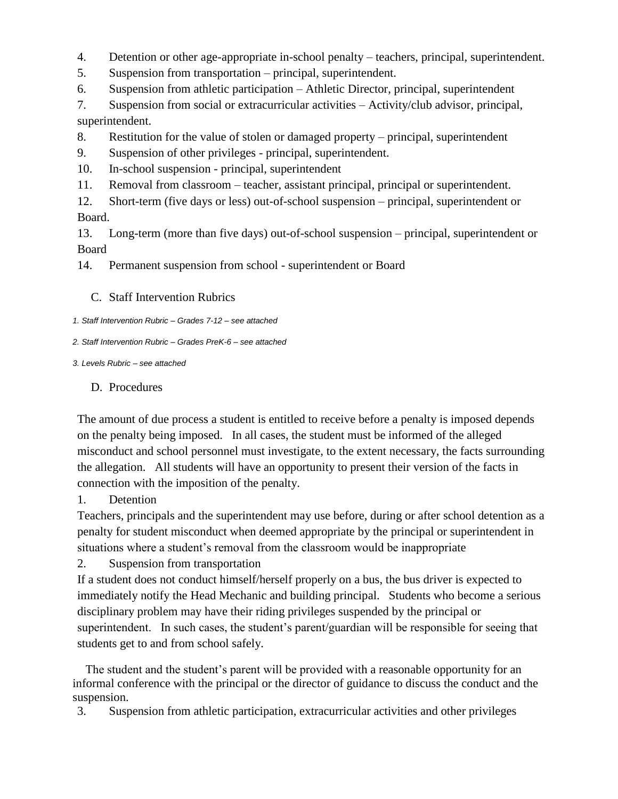- 4. Detention or other age-appropriate in-school penalty teachers, principal, superintendent.
- 5. Suspension from transportation principal, superintendent.
- 6. Suspension from athletic participation Athletic Director, principal, superintendent

7. Suspension from social or extracurricular activities – Activity/club advisor, principal, superintendent.

- 8. Restitution for the value of stolen or damaged property principal, superintendent
- 9. Suspension of other privileges principal, superintendent.
- 10. In-school suspension principal, superintendent
- 11. Removal from classroom teacher, assistant principal, principal or superintendent.
- 12. Short-term (five days or less) out-of-school suspension principal, superintendent or Board.

13. Long-term (more than five days) out-of-school suspension – principal, superintendent or Board

14. Permanent suspension from school - superintendent or Board

- C. Staff Intervention Rubrics
- *1. Staff Intervention Rubric – Grades 7-12 – see attached*
- *2. Staff Intervention Rubric – Grades PreK-6 – see attached*

#### *3. Levels Rubric – see attached*

#### D. Procedures

The amount of due process a student is entitled to receive before a penalty is imposed depends on the penalty being imposed. In all cases, the student must be informed of the alleged misconduct and school personnel must investigate, to the extent necessary, the facts surrounding the allegation. All students will have an opportunity to present their version of the facts in connection with the imposition of the penalty.

## 1. Detention

Teachers, principals and the superintendent may use before, during or after school detention as a penalty for student misconduct when deemed appropriate by the principal or superintendent in situations where a student's removal from the classroom would be inappropriate

2. Suspension from transportation

If a student does not conduct himself/herself properly on a bus, the bus driver is expected to immediately notify the Head Mechanic and building principal. Students who become a serious disciplinary problem may have their riding privileges suspended by the principal or superintendent. In such cases, the student's parent/guardian will be responsible for seeing that students get to and from school safely.

 The student and the student's parent will be provided with a reasonable opportunity for an informal conference with the principal or the director of guidance to discuss the conduct and the suspension.

3. Suspension from athletic participation, extracurricular activities and other privileges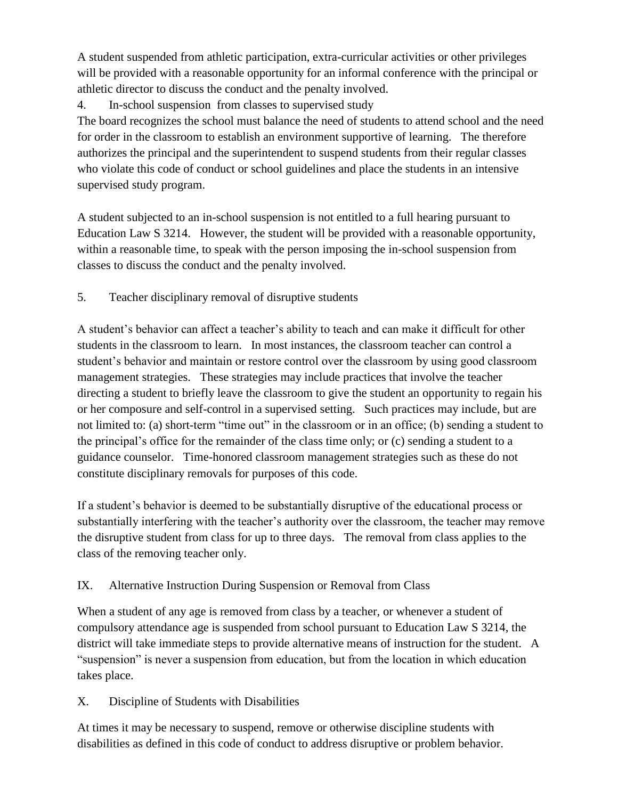A student suspended from athletic participation, extra-curricular activities or other privileges will be provided with a reasonable opportunity for an informal conference with the principal or athletic director to discuss the conduct and the penalty involved.

4. In-school suspension from classes to supervised study

The board recognizes the school must balance the need of students to attend school and the need for order in the classroom to establish an environment supportive of learning. The therefore authorizes the principal and the superintendent to suspend students from their regular classes who violate this code of conduct or school guidelines and place the students in an intensive supervised study program.

A student subjected to an in-school suspension is not entitled to a full hearing pursuant to Education Law S 3214. However, the student will be provided with a reasonable opportunity, within a reasonable time, to speak with the person imposing the in-school suspension from classes to discuss the conduct and the penalty involved.

5. Teacher disciplinary removal of disruptive students

A student's behavior can affect a teacher's ability to teach and can make it difficult for other students in the classroom to learn. In most instances, the classroom teacher can control a student's behavior and maintain or restore control over the classroom by using good classroom management strategies. These strategies may include practices that involve the teacher directing a student to briefly leave the classroom to give the student an opportunity to regain his or her composure and self-control in a supervised setting. Such practices may include, but are not limited to: (a) short-term "time out" in the classroom or in an office; (b) sending a student to the principal's office for the remainder of the class time only; or (c) sending a student to a guidance counselor. Time-honored classroom management strategies such as these do not constitute disciplinary removals for purposes of this code.

If a student's behavior is deemed to be substantially disruptive of the educational process or substantially interfering with the teacher's authority over the classroom, the teacher may remove the disruptive student from class for up to three days. The removal from class applies to the class of the removing teacher only.

## IX. Alternative Instruction During Suspension or Removal from Class

When a student of any age is removed from class by a teacher, or whenever a student of compulsory attendance age is suspended from school pursuant to Education Law S 3214, the district will take immediate steps to provide alternative means of instruction for the student. A "suspension" is never a suspension from education, but from the location in which education takes place.

## X. Discipline of Students with Disabilities

At times it may be necessary to suspend, remove or otherwise discipline students with disabilities as defined in this code of conduct to address disruptive or problem behavior.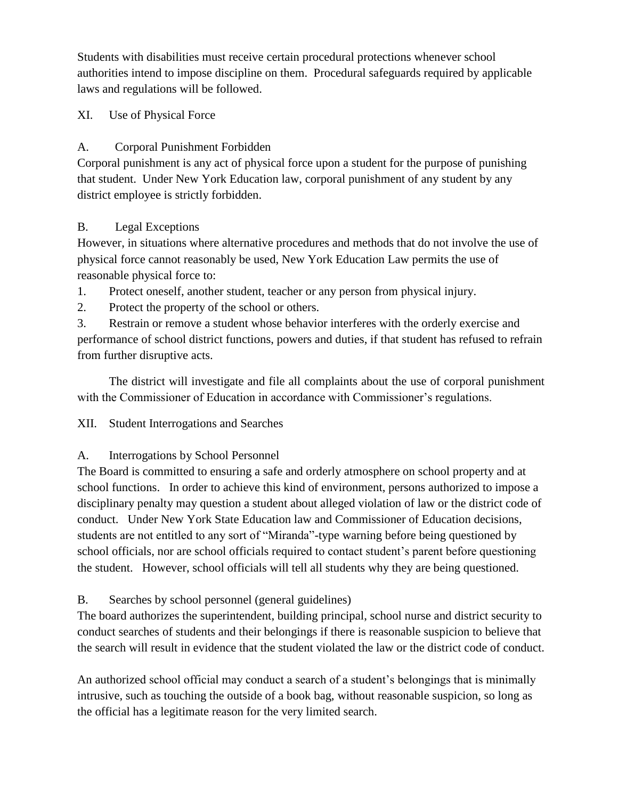Students with disabilities must receive certain procedural protections whenever school authorities intend to impose discipline on them. Procedural safeguards required by applicable laws and regulations will be followed.

## XI. Use of Physical Force

## A. Corporal Punishment Forbidden

Corporal punishment is any act of physical force upon a student for the purpose of punishing that student. Under New York Education law, corporal punishment of any student by any district employee is strictly forbidden.

## B. Legal Exceptions

However, in situations where alternative procedures and methods that do not involve the use of physical force cannot reasonably be used, New York Education Law permits the use of reasonable physical force to:

- 1. Protect oneself, another student, teacher or any person from physical injury.
- 2. Protect the property of the school or others.

3. Restrain or remove a student whose behavior interferes with the orderly exercise and performance of school district functions, powers and duties, if that student has refused to refrain from further disruptive acts.

The district will investigate and file all complaints about the use of corporal punishment with the Commissioner of Education in accordance with Commissioner's regulations.

#### XII. Student Interrogations and Searches

## A. Interrogations by School Personnel

The Board is committed to ensuring a safe and orderly atmosphere on school property and at school functions. In order to achieve this kind of environment, persons authorized to impose a disciplinary penalty may question a student about alleged violation of law or the district code of conduct. Under New York State Education law and Commissioner of Education decisions, students are not entitled to any sort of "Miranda"-type warning before being questioned by school officials, nor are school officials required to contact student's parent before questioning the student. However, school officials will tell all students why they are being questioned.

B. Searches by school personnel (general guidelines)

The board authorizes the superintendent, building principal, school nurse and district security to conduct searches of students and their belongings if there is reasonable suspicion to believe that the search will result in evidence that the student violated the law or the district code of conduct.

An authorized school official may conduct a search of a student's belongings that is minimally intrusive, such as touching the outside of a book bag, without reasonable suspicion, so long as the official has a legitimate reason for the very limited search.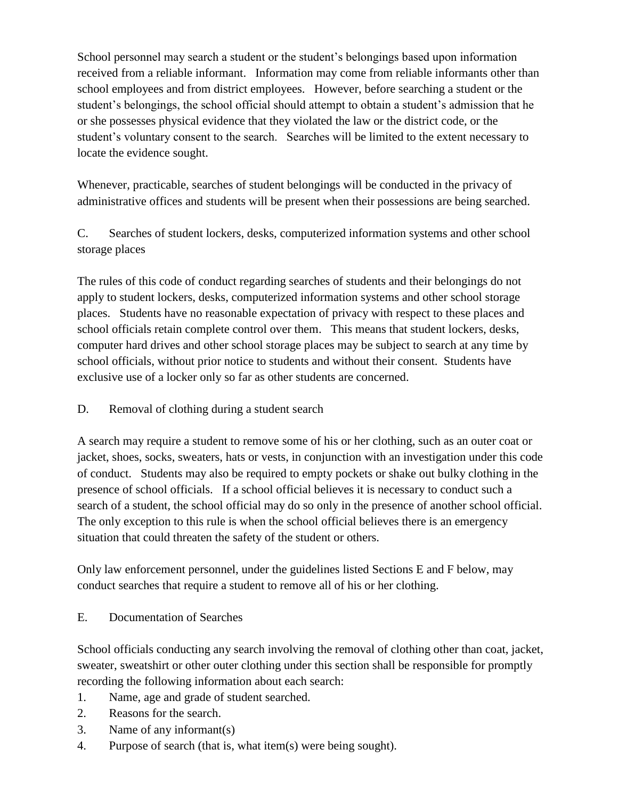School personnel may search a student or the student's belongings based upon information received from a reliable informant. Information may come from reliable informants other than school employees and from district employees. However, before searching a student or the student's belongings, the school official should attempt to obtain a student's admission that he or she possesses physical evidence that they violated the law or the district code, or the student's voluntary consent to the search. Searches will be limited to the extent necessary to locate the evidence sought.

Whenever, practicable, searches of student belongings will be conducted in the privacy of administrative offices and students will be present when their possessions are being searched.

C. Searches of student lockers, desks, computerized information systems and other school storage places

The rules of this code of conduct regarding searches of students and their belongings do not apply to student lockers, desks, computerized information systems and other school storage places. Students have no reasonable expectation of privacy with respect to these places and school officials retain complete control over them. This means that student lockers, desks, computer hard drives and other school storage places may be subject to search at any time by school officials, without prior notice to students and without their consent. Students have exclusive use of a locker only so far as other students are concerned.

#### D. Removal of clothing during a student search

A search may require a student to remove some of his or her clothing, such as an outer coat or jacket, shoes, socks, sweaters, hats or vests, in conjunction with an investigation under this code of conduct. Students may also be required to empty pockets or shake out bulky clothing in the presence of school officials. If a school official believes it is necessary to conduct such a search of a student, the school official may do so only in the presence of another school official. The only exception to this rule is when the school official believes there is an emergency situation that could threaten the safety of the student or others.

Only law enforcement personnel, under the guidelines listed Sections E and F below, may conduct searches that require a student to remove all of his or her clothing.

E. Documentation of Searches

School officials conducting any search involving the removal of clothing other than coat, jacket, sweater, sweatshirt or other outer clothing under this section shall be responsible for promptly recording the following information about each search:

- 1. Name, age and grade of student searched.
- 2. Reasons for the search.
- 3. Name of any informant(s)
- 4. Purpose of search (that is, what item(s) were being sought).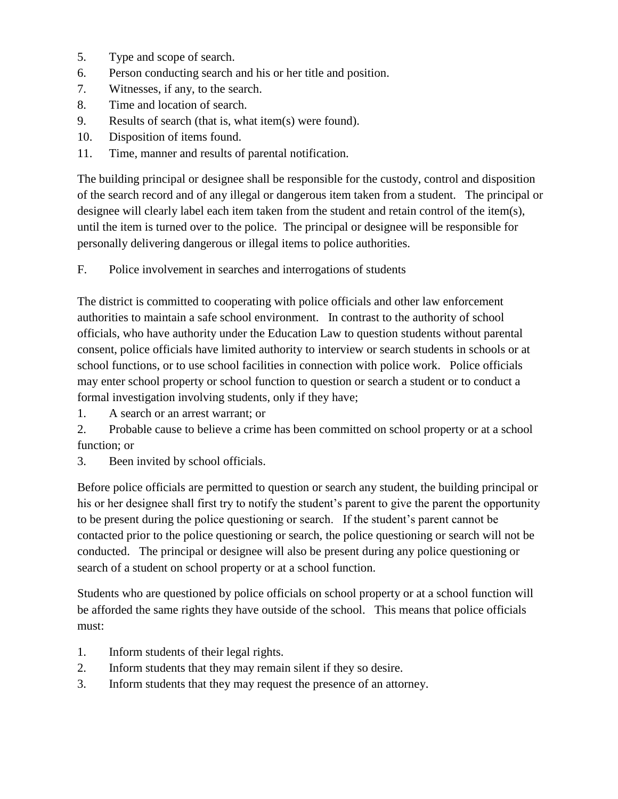- 5. Type and scope of search.
- 6. Person conducting search and his or her title and position.
- 7. Witnesses, if any, to the search.
- 8. Time and location of search.
- 9. Results of search (that is, what item(s) were found).
- 10. Disposition of items found.
- 11. Time, manner and results of parental notification.

The building principal or designee shall be responsible for the custody, control and disposition of the search record and of any illegal or dangerous item taken from a student. The principal or designee will clearly label each item taken from the student and retain control of the item(s), until the item is turned over to the police. The principal or designee will be responsible for personally delivering dangerous or illegal items to police authorities.

F. Police involvement in searches and interrogations of students

The district is committed to cooperating with police officials and other law enforcement authorities to maintain a safe school environment. In contrast to the authority of school officials, who have authority under the Education Law to question students without parental consent, police officials have limited authority to interview or search students in schools or at school functions, or to use school facilities in connection with police work. Police officials may enter school property or school function to question or search a student or to conduct a formal investigation involving students, only if they have;

1. A search or an arrest warrant; or

2. Probable cause to believe a crime has been committed on school property or at a school function; or

3. Been invited by school officials.

Before police officials are permitted to question or search any student, the building principal or his or her designee shall first try to notify the student's parent to give the parent the opportunity to be present during the police questioning or search. If the student's parent cannot be contacted prior to the police questioning or search, the police questioning or search will not be conducted. The principal or designee will also be present during any police questioning or search of a student on school property or at a school function.

Students who are questioned by police officials on school property or at a school function will be afforded the same rights they have outside of the school. This means that police officials must:

- 1. Inform students of their legal rights.
- 2. Inform students that they may remain silent if they so desire.
- 3. Inform students that they may request the presence of an attorney.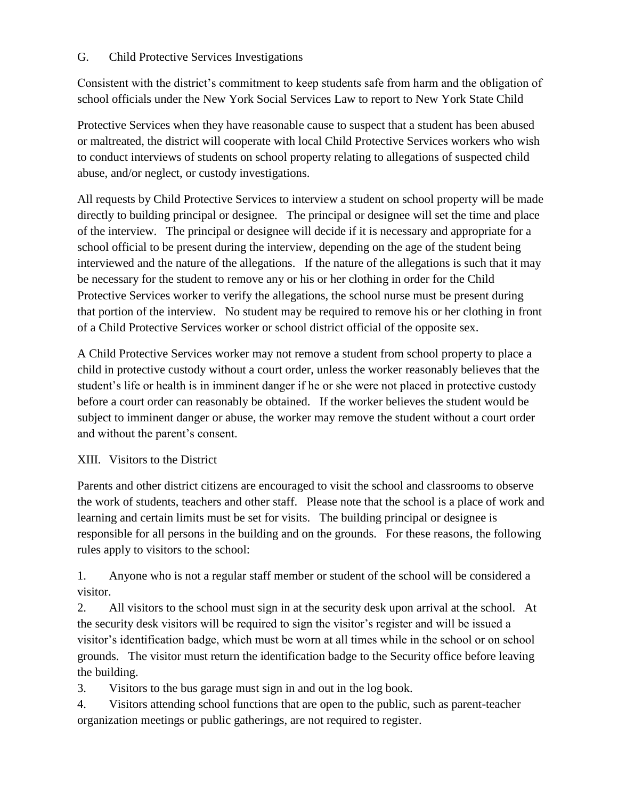### G. Child Protective Services Investigations

Consistent with the district's commitment to keep students safe from harm and the obligation of school officials under the New York Social Services Law to report to New York State Child

Protective Services when they have reasonable cause to suspect that a student has been abused or maltreated, the district will cooperate with local Child Protective Services workers who wish to conduct interviews of students on school property relating to allegations of suspected child abuse, and/or neglect, or custody investigations.

All requests by Child Protective Services to interview a student on school property will be made directly to building principal or designee. The principal or designee will set the time and place of the interview. The principal or designee will decide if it is necessary and appropriate for a school official to be present during the interview, depending on the age of the student being interviewed and the nature of the allegations. If the nature of the allegations is such that it may be necessary for the student to remove any or his or her clothing in order for the Child Protective Services worker to verify the allegations, the school nurse must be present during that portion of the interview. No student may be required to remove his or her clothing in front of a Child Protective Services worker or school district official of the opposite sex.

A Child Protective Services worker may not remove a student from school property to place a child in protective custody without a court order, unless the worker reasonably believes that the student's life or health is in imminent danger if he or she were not placed in protective custody before a court order can reasonably be obtained. If the worker believes the student would be subject to imminent danger or abuse, the worker may remove the student without a court order and without the parent's consent.

## XIII. Visitors to the District

Parents and other district citizens are encouraged to visit the school and classrooms to observe the work of students, teachers and other staff. Please note that the school is a place of work and learning and certain limits must be set for visits. The building principal or designee is responsible for all persons in the building and on the grounds. For these reasons, the following rules apply to visitors to the school:

1. Anyone who is not a regular staff member or student of the school will be considered a visitor.

2. All visitors to the school must sign in at the security desk upon arrival at the school. At the security desk visitors will be required to sign the visitor's register and will be issued a visitor's identification badge, which must be worn at all times while in the school or on school grounds. The visitor must return the identification badge to the Security office before leaving the building.

3. Visitors to the bus garage must sign in and out in the log book.

4. Visitors attending school functions that are open to the public, such as parent-teacher organization meetings or public gatherings, are not required to register.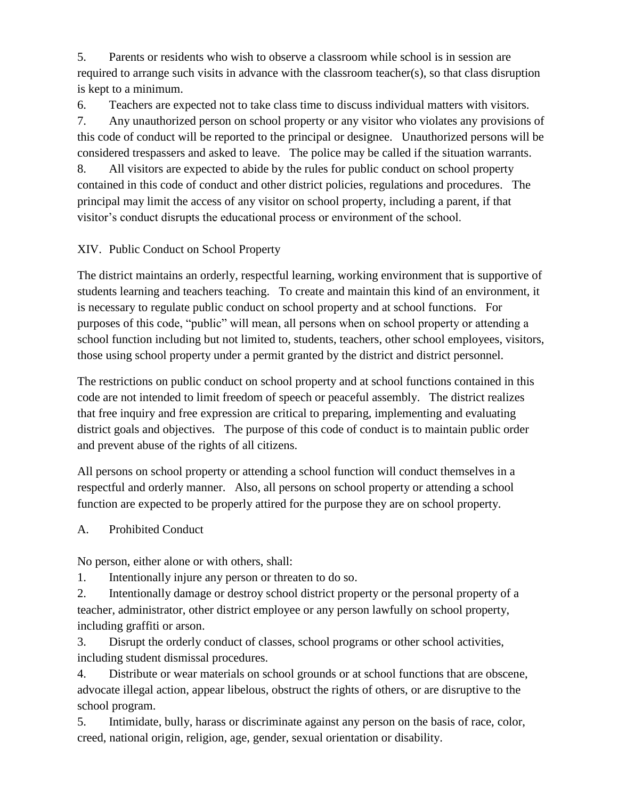5. Parents or residents who wish to observe a classroom while school is in session are required to arrange such visits in advance with the classroom teacher(s), so that class disruption is kept to a minimum.

6. Teachers are expected not to take class time to discuss individual matters with visitors. 7. Any unauthorized person on school property or any visitor who violates any provisions of this code of conduct will be reported to the principal or designee. Unauthorized persons will be considered trespassers and asked to leave. The police may be called if the situation warrants. 8. All visitors are expected to abide by the rules for public conduct on school property contained in this code of conduct and other district policies, regulations and procedures. The principal may limit the access of any visitor on school property, including a parent, if that visitor's conduct disrupts the educational process or environment of the school.

# XIV. Public Conduct on School Property

The district maintains an orderly, respectful learning, working environment that is supportive of students learning and teachers teaching. To create and maintain this kind of an environment, it is necessary to regulate public conduct on school property and at school functions. For purposes of this code, "public" will mean, all persons when on school property or attending a school function including but not limited to, students, teachers, other school employees, visitors, those using school property under a permit granted by the district and district personnel.

The restrictions on public conduct on school property and at school functions contained in this code are not intended to limit freedom of speech or peaceful assembly. The district realizes that free inquiry and free expression are critical to preparing, implementing and evaluating district goals and objectives. The purpose of this code of conduct is to maintain public order and prevent abuse of the rights of all citizens.

All persons on school property or attending a school function will conduct themselves in a respectful and orderly manner. Also, all persons on school property or attending a school function are expected to be properly attired for the purpose they are on school property.

## A. Prohibited Conduct

No person, either alone or with others, shall:

1. Intentionally injure any person or threaten to do so.

2. Intentionally damage or destroy school district property or the personal property of a teacher, administrator, other district employee or any person lawfully on school property, including graffiti or arson.

3. Disrupt the orderly conduct of classes, school programs or other school activities, including student dismissal procedures.

4. Distribute or wear materials on school grounds or at school functions that are obscene, advocate illegal action, appear libelous, obstruct the rights of others, or are disruptive to the school program.

5. Intimidate, bully, harass or discriminate against any person on the basis of race, color, creed, national origin, religion, age, gender, sexual orientation or disability.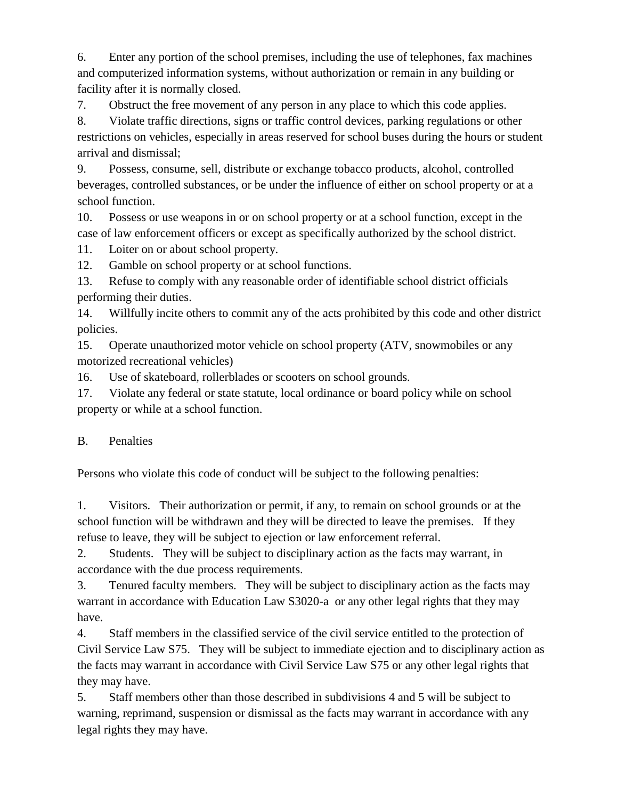6. Enter any portion of the school premises, including the use of telephones, fax machines and computerized information systems, without authorization or remain in any building or facility after it is normally closed.

7. Obstruct the free movement of any person in any place to which this code applies.

8. Violate traffic directions, signs or traffic control devices, parking regulations or other restrictions on vehicles, especially in areas reserved for school buses during the hours or student arrival and dismissal;

9. Possess, consume, sell, distribute or exchange tobacco products, alcohol, controlled beverages, controlled substances, or be under the influence of either on school property or at a school function.

10. Possess or use weapons in or on school property or at a school function, except in the case of law enforcement officers or except as specifically authorized by the school district.

11. Loiter on or about school property.

12. Gamble on school property or at school functions.

13. Refuse to comply with any reasonable order of identifiable school district officials performing their duties.

14. Willfully incite others to commit any of the acts prohibited by this code and other district policies.

15. Operate unauthorized motor vehicle on school property (ATV, snowmobiles or any motorized recreational vehicles)

16. Use of skateboard, rollerblades or scooters on school grounds.

17. Violate any federal or state statute, local ordinance or board policy while on school property or while at a school function.

## B. Penalties

Persons who violate this code of conduct will be subject to the following penalties:

1. Visitors. Their authorization or permit, if any, to remain on school grounds or at the school function will be withdrawn and they will be directed to leave the premises. If they refuse to leave, they will be subject to ejection or law enforcement referral.

2. Students. They will be subject to disciplinary action as the facts may warrant, in accordance with the due process requirements.

3. Tenured faculty members. They will be subject to disciplinary action as the facts may warrant in accordance with Education Law S3020-a or any other legal rights that they may have.

4. Staff members in the classified service of the civil service entitled to the protection of Civil Service Law S75. They will be subject to immediate ejection and to disciplinary action as the facts may warrant in accordance with Civil Service Law S75 or any other legal rights that they may have.

5. Staff members other than those described in subdivisions 4 and 5 will be subject to warning, reprimand, suspension or dismissal as the facts may warrant in accordance with any legal rights they may have.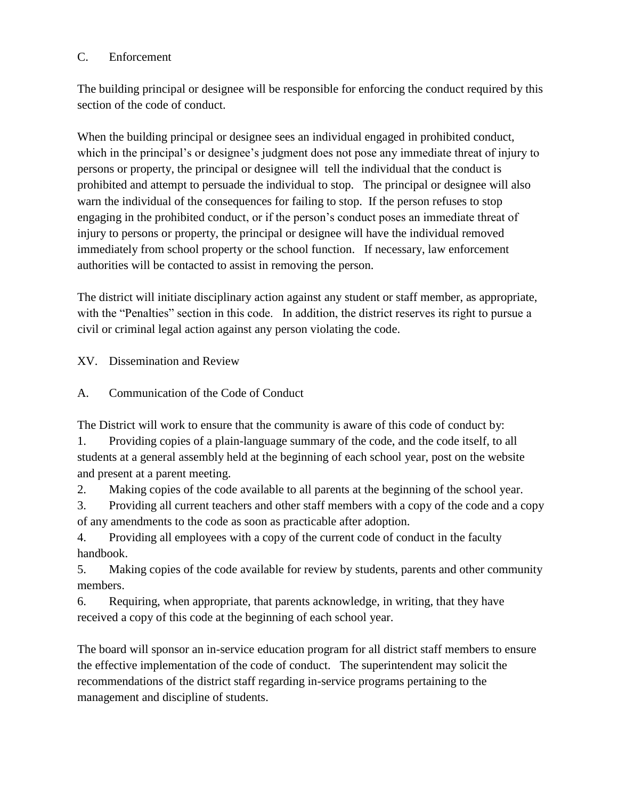## C. Enforcement

The building principal or designee will be responsible for enforcing the conduct required by this section of the code of conduct.

When the building principal or designee sees an individual engaged in prohibited conduct, which in the principal's or designee's judgment does not pose any immediate threat of injury to persons or property, the principal or designee will tell the individual that the conduct is prohibited and attempt to persuade the individual to stop. The principal or designee will also warn the individual of the consequences for failing to stop. If the person refuses to stop engaging in the prohibited conduct, or if the person's conduct poses an immediate threat of injury to persons or property, the principal or designee will have the individual removed immediately from school property or the school function. If necessary, law enforcement authorities will be contacted to assist in removing the person.

The district will initiate disciplinary action against any student or staff member, as appropriate, with the "Penalties" section in this code. In addition, the district reserves its right to pursue a civil or criminal legal action against any person violating the code.

XV. Dissemination and Review

A. Communication of the Code of Conduct

The District will work to ensure that the community is aware of this code of conduct by:

1. Providing copies of a plain-language summary of the code, and the code itself, to all students at a general assembly held at the beginning of each school year, post on the website and present at a parent meeting.

2. Making copies of the code available to all parents at the beginning of the school year.

3. Providing all current teachers and other staff members with a copy of the code and a copy of any amendments to the code as soon as practicable after adoption.

4. Providing all employees with a copy of the current code of conduct in the faculty handbook.

5. Making copies of the code available for review by students, parents and other community members.

6. Requiring, when appropriate, that parents acknowledge, in writing, that they have received a copy of this code at the beginning of each school year.

The board will sponsor an in-service education program for all district staff members to ensure the effective implementation of the code of conduct. The superintendent may solicit the recommendations of the district staff regarding in-service programs pertaining to the management and discipline of students.